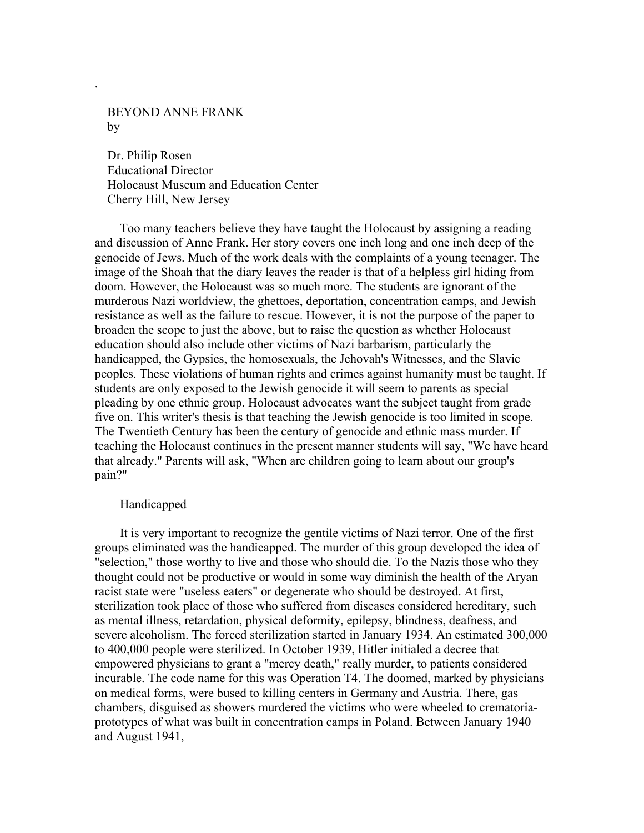BEYOND ANNE FRANK by

.

 Dr. Philip Rosen Educational Director Holocaust Museum and Education Center Cherry Hill, New Jersey

 Too many teachers believe they have taught the Holocaust by assigning a reading and discussion of Anne Frank. Her story covers one inch long and one inch deep of the genocide of Jews. Much of the work deals with the complaints of a young teenager. The image of the Shoah that the diary leaves the reader is that of a helpless girl hiding from doom. However, the Holocaust was so much more. The students are ignorant of the murderous Nazi worldview, the ghettoes, deportation, concentration camps, and Jewish resistance as well as the failure to rescue. However, it is not the purpose of the paper to broaden the scope to just the above, but to raise the question as whether Holocaust education should also include other victims of Nazi barbarism, particularly the handicapped, the Gypsies, the homosexuals, the Jehovah's Witnesses, and the Slavic peoples. These violations of human rights and crimes against humanity must be taught. If students are only exposed to the Jewish genocide it will seem to parents as special pleading by one ethnic group. Holocaust advocates want the subject taught from grade five on. This writer's thesis is that teaching the Jewish genocide is too limited in scope. The Twentieth Century has been the century of genocide and ethnic mass murder. If teaching the Holocaust continues in the present manner students will say, "We have heard that already." Parents will ask, "When are children going to learn about our group's pain?"

### Handicapped

 It is very important to recognize the gentile victims of Nazi terror. One of the first groups eliminated was the handicapped. The murder of this group developed the idea of "selection," those worthy to live and those who should die. To the Nazis those who they thought could not be productive or would in some way diminish the health of the Aryan racist state were "useless eaters" or degenerate who should be destroyed. At first, sterilization took place of those who suffered from diseases considered hereditary, such as mental illness, retardation, physical deformity, epilepsy, blindness, deafness, and severe alcoholism. The forced sterilization started in January 1934. An estimated 300,000 to 400,000 people were sterilized. In October 1939, Hitler initialed a decree that empowered physicians to grant a "mercy death," really murder, to patients considered incurable. The code name for this was Operation T4. The doomed, marked by physicians on medical forms, were bused to killing centers in Germany and Austria. There, gas chambers, disguised as showers murdered the victims who were wheeled to crematoriaprototypes of what was built in concentration camps in Poland. Between January 1940 and August 1941,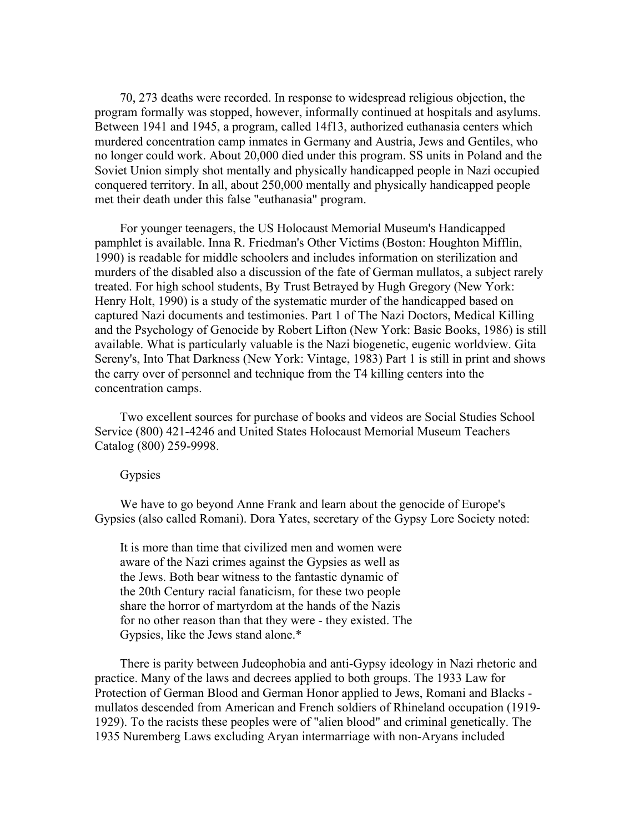70, 273 deaths were recorded. In response to widespread religious objection, the program formally was stopped, however, informally continued at hospitals and asylums. Between 1941 and 1945, a program, called 14f13, authorized euthanasia centers which murdered concentration camp inmates in Germany and Austria, Jews and Gentiles, who no longer could work. About 20,000 died under this program. SS units in Poland and the Soviet Union simply shot mentally and physically handicapped people in Nazi occupied conquered territory. In all, about 250,000 mentally and physically handicapped people met their death under this false "euthanasia" program.

 For younger teenagers, the US Holocaust Memorial Museum's Handicapped pamphlet is available. Inna R. Friedman's Other Victims (Boston: Houghton Mifflin, 1990) is readable for middle schoolers and includes information on sterilization and murders of the disabled also a discussion of the fate of German mullatos, a subject rarely treated. For high school students, By Trust Betrayed by Hugh Gregory (New York: Henry Holt, 1990) is a study of the systematic murder of the handicapped based on captured Nazi documents and testimonies. Part 1 of The Nazi Doctors, Medical Killing and the Psychology of Genocide by Robert Lifton (New York: Basic Books, 1986) is still available. What is particularly valuable is the Nazi biogenetic, eugenic worldview. Gita Sereny's, Into That Darkness (New York: Vintage, 1983) Part 1 is still in print and shows the carry over of personnel and technique from the T4 killing centers into the concentration camps.

 Two excellent sources for purchase of books and videos are Social Studies School Service (800) 421-4246 and United States Holocaust Memorial Museum Teachers Catalog (800) 259-9998.

## **Gypsies**

 We have to go beyond Anne Frank and learn about the genocide of Europe's Gypsies (also called Romani). Dora Yates, secretary of the Gypsy Lore Society noted:

 It is more than time that civilized men and women were aware of the Nazi crimes against the Gypsies as well as the Jews. Both bear witness to the fantastic dynamic of the 20th Century racial fanaticism, for these two people share the horror of martyrdom at the hands of the Nazis for no other reason than that they were - they existed. The Gypsies, like the Jews stand alone.\*

 There is parity between Judeophobia and anti-Gypsy ideology in Nazi rhetoric and practice. Many of the laws and decrees applied to both groups. The 1933 Law for Protection of German Blood and German Honor applied to Jews, Romani and Blacks mullatos descended from American and French soldiers of Rhineland occupation (1919- 1929). To the racists these peoples were of "alien blood" and criminal genetically. The 1935 Nuremberg Laws excluding Aryan intermarriage with non-Aryans included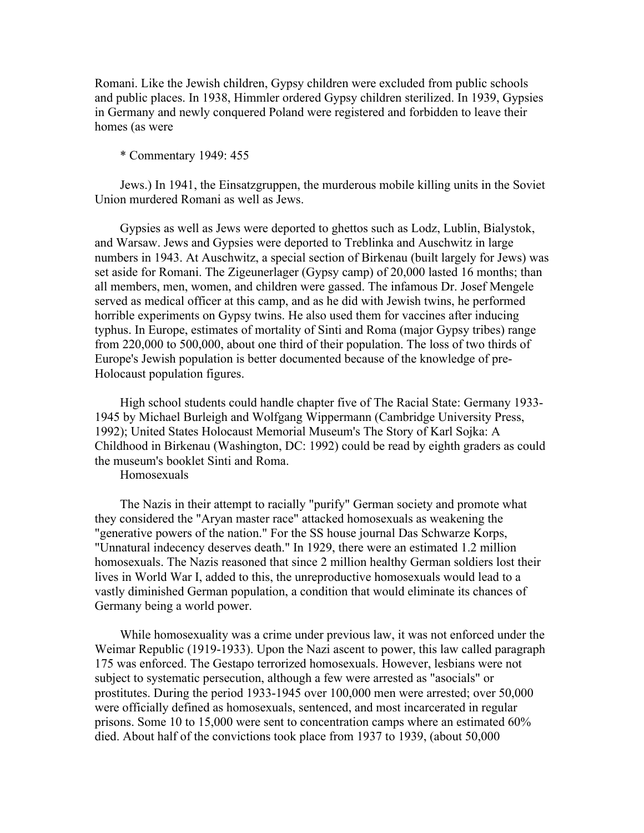Romani. Like the Jewish children, Gypsy children were excluded from public schools and public places. In 1938, Himmler ordered Gypsy children sterilized. In 1939, Gypsies in Germany and newly conquered Poland were registered and forbidden to leave their homes (as were

# \* Commentary 1949: 455

 Jews.) In 1941, the Einsatzgruppen, the murderous mobile killing units in the Soviet Union murdered Romani as well as Jews.

 Gypsies as well as Jews were deported to ghettos such as Lodz, Lublin, Bialystok, and Warsaw. Jews and Gypsies were deported to Treblinka and Auschwitz in large numbers in 1943. At Auschwitz, a special section of Birkenau (built largely for Jews) was set aside for Romani. The Zigeunerlager (Gypsy camp) of 20,000 lasted 16 months; than all members, men, women, and children were gassed. The infamous Dr. Josef Mengele served as medical officer at this camp, and as he did with Jewish twins, he performed horrible experiments on Gypsy twins. He also used them for vaccines after inducing typhus. In Europe, estimates of mortality of Sinti and Roma (major Gypsy tribes) range from 220,000 to 500,000, about one third of their population. The loss of two thirds of Europe's Jewish population is better documented because of the knowledge of pre-Holocaust population figures.

 High school students could handle chapter five of The Racial State: Germany 1933- 1945 by Michael Burleigh and Wolfgang Wippermann (Cambridge University Press, 1992); United States Holocaust Memorial Museum's The Story of Karl Sojka: A Childhood in Birkenau (Washington, DC: 1992) could be read by eighth graders as could the museum's booklet Sinti and Roma.

Homosexuals

 The Nazis in their attempt to racially "purify" German society and promote what they considered the "Aryan master race" attacked homosexuals as weakening the "generative powers of the nation." For the SS house journal Das Schwarze Korps, "Unnatural indecency deserves death." In 1929, there were an estimated 1.2 million homosexuals. The Nazis reasoned that since 2 million healthy German soldiers lost their lives in World War I, added to this, the unreproductive homosexuals would lead to a vastly diminished German population, a condition that would eliminate its chances of Germany being a world power.

 While homosexuality was a crime under previous law, it was not enforced under the Weimar Republic (1919-1933). Upon the Nazi ascent to power, this law called paragraph 175 was enforced. The Gestapo terrorized homosexuals. However, lesbians were not subject to systematic persecution, although a few were arrested as "asocials" or prostitutes. During the period 1933-1945 over 100,000 men were arrested; over 50,000 were officially defined as homosexuals, sentenced, and most incarcerated in regular prisons. Some 10 to 15,000 were sent to concentration camps where an estimated 60% died. About half of the convictions took place from 1937 to 1939, (about 50,000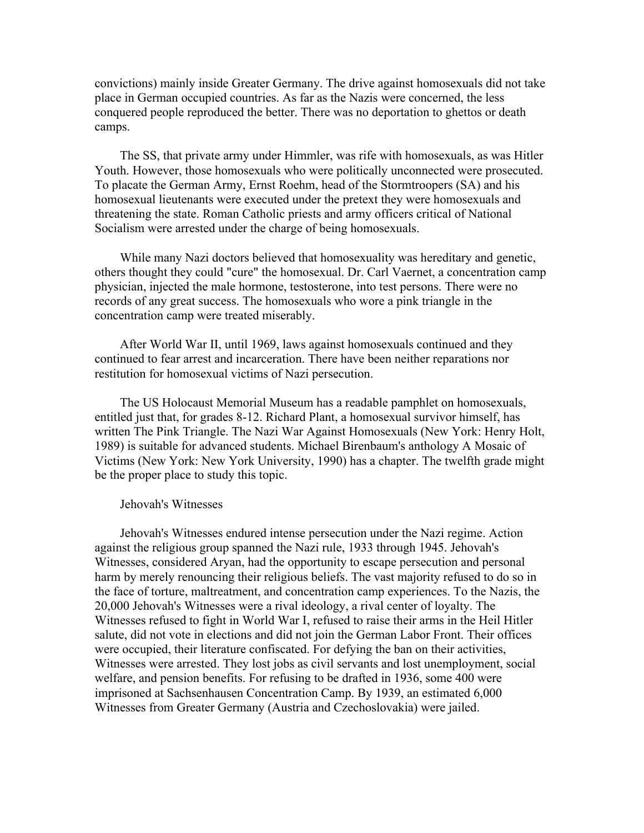convictions) mainly inside Greater Germany. The drive against homosexuals did not take place in German occupied countries. As far as the Nazis were concerned, the less conquered people reproduced the better. There was no deportation to ghettos or death camps.

 The SS, that private army under Himmler, was rife with homosexuals, as was Hitler Youth. However, those homosexuals who were politically unconnected were prosecuted. To placate the German Army, Ernst Roehm, head of the Stormtroopers (SA) and his homosexual lieutenants were executed under the pretext they were homosexuals and threatening the state. Roman Catholic priests and army officers critical of National Socialism were arrested under the charge of being homosexuals.

 While many Nazi doctors believed that homosexuality was hereditary and genetic, others thought they could "cure" the homosexual. Dr. Carl Vaernet, a concentration camp physician, injected the male hormone, testosterone, into test persons. There were no records of any great success. The homosexuals who wore a pink triangle in the concentration camp were treated miserably.

 After World War II, until 1969, laws against homosexuals continued and they continued to fear arrest and incarceration. There have been neither reparations nor restitution for homosexual victims of Nazi persecution.

 The US Holocaust Memorial Museum has a readable pamphlet on homosexuals, entitled just that, for grades 8-12. Richard Plant, a homosexual survivor himself, has written The Pink Triangle. The Nazi War Against Homosexuals (New York: Henry Holt, 1989) is suitable for advanced students. Michael Birenbaum's anthology A Mosaic of Victims (New York: New York University, 1990) has a chapter. The twelfth grade might be the proper place to study this topic.

### Jehovah's Witnesses

 Jehovah's Witnesses endured intense persecution under the Nazi regime. Action against the religious group spanned the Nazi rule, 1933 through 1945. Jehovah's Witnesses, considered Aryan, had the opportunity to escape persecution and personal harm by merely renouncing their religious beliefs. The vast majority refused to do so in the face of torture, maltreatment, and concentration camp experiences. To the Nazis, the 20,000 Jehovah's Witnesses were a rival ideology, a rival center of loyalty. The Witnesses refused to fight in World War I, refused to raise their arms in the Heil Hitler salute, did not vote in elections and did not join the German Labor Front. Their offices were occupied, their literature confiscated. For defying the ban on their activities, Witnesses were arrested. They lost jobs as civil servants and lost unemployment, social welfare, and pension benefits. For refusing to be drafted in 1936, some 400 were imprisoned at Sachsenhausen Concentration Camp. By 1939, an estimated 6,000 Witnesses from Greater Germany (Austria and Czechoslovakia) were jailed.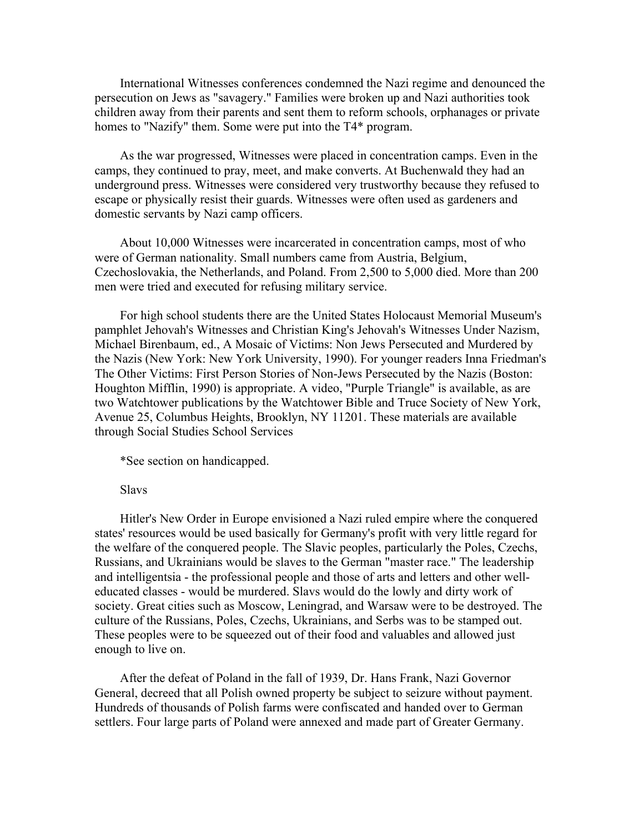International Witnesses conferences condemned the Nazi regime and denounced the persecution on Jews as "savagery." Families were broken up and Nazi authorities took children away from their parents and sent them to reform schools, orphanages or private homes to "Nazify" them. Some were put into the T4\* program.

 As the war progressed, Witnesses were placed in concentration camps. Even in the camps, they continued to pray, meet, and make converts. At Buchenwald they had an underground press. Witnesses were considered very trustworthy because they refused to escape or physically resist their guards. Witnesses were often used as gardeners and domestic servants by Nazi camp officers.

 About 10,000 Witnesses were incarcerated in concentration camps, most of who were of German nationality. Small numbers came from Austria, Belgium, Czechoslovakia, the Netherlands, and Poland. From 2,500 to 5,000 died. More than 200 men were tried and executed for refusing military service.

 For high school students there are the United States Holocaust Memorial Museum's pamphlet Jehovah's Witnesses and Christian King's Jehovah's Witnesses Under Nazism, Michael Birenbaum, ed., A Mosaic of Victims: Non Jews Persecuted and Murdered by the Nazis (New York: New York University, 1990). For younger readers Inna Friedman's The Other Victims: First Person Stories of Non-Jews Persecuted by the Nazis (Boston: Houghton Mifflin, 1990) is appropriate. A video, "Purple Triangle" is available, as are two Watchtower publications by the Watchtower Bible and Truce Society of New York, Avenue 25, Columbus Heights, Brooklyn, NY 11201. These materials are available through Social Studies School Services

\*See section on handicapped.

### Slavs

 Hitler's New Order in Europe envisioned a Nazi ruled empire where the conquered states' resources would be used basically for Germany's profit with very little regard for the welfare of the conquered people. The Slavic peoples, particularly the Poles, Czechs, Russians, and Ukrainians would be slaves to the German "master race." The leadership and intelligentsia - the professional people and those of arts and letters and other welleducated classes - would be murdered. Slavs would do the lowly and dirty work of society. Great cities such as Moscow, Leningrad, and Warsaw were to be destroyed. The culture of the Russians, Poles, Czechs, Ukrainians, and Serbs was to be stamped out. These peoples were to be squeezed out of their food and valuables and allowed just enough to live on.

 After the defeat of Poland in the fall of 1939, Dr. Hans Frank, Nazi Governor General, decreed that all Polish owned property be subject to seizure without payment. Hundreds of thousands of Polish farms were confiscated and handed over to German settlers. Four large parts of Poland were annexed and made part of Greater Germany.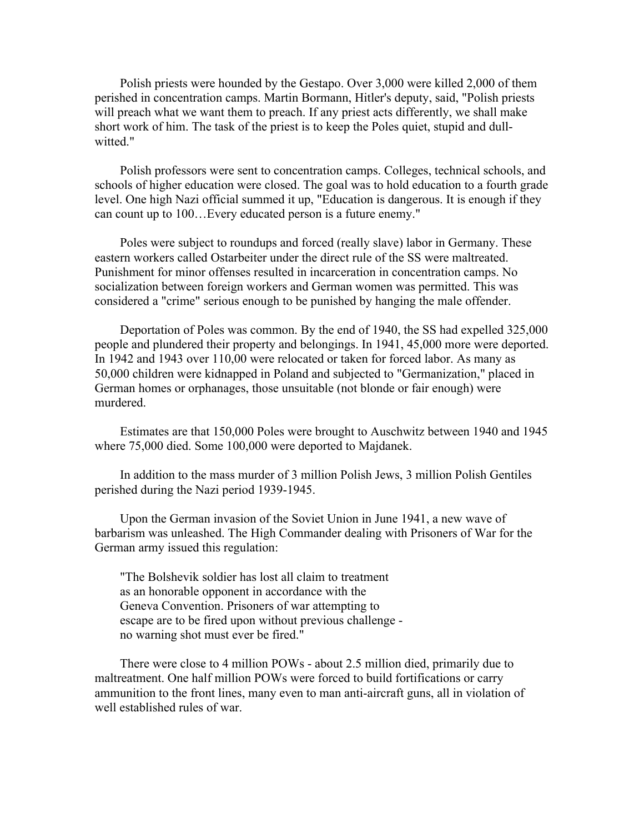Polish priests were hounded by the Gestapo. Over 3,000 were killed 2,000 of them perished in concentration camps. Martin Bormann, Hitler's deputy, said, "Polish priests will preach what we want them to preach. If any priest acts differently, we shall make short work of him. The task of the priest is to keep the Poles quiet, stupid and dullwitted."

 Polish professors were sent to concentration camps. Colleges, technical schools, and schools of higher education were closed. The goal was to hold education to a fourth grade level. One high Nazi official summed it up, "Education is dangerous. It is enough if they can count up to 100…Every educated person is a future enemy."

 Poles were subject to roundups and forced (really slave) labor in Germany. These eastern workers called Ostarbeiter under the direct rule of the SS were maltreated. Punishment for minor offenses resulted in incarceration in concentration camps. No socialization between foreign workers and German women was permitted. This was considered a "crime" serious enough to be punished by hanging the male offender.

 Deportation of Poles was common. By the end of 1940, the SS had expelled 325,000 people and plundered their property and belongings. In 1941, 45,000 more were deported. In 1942 and 1943 over 110,00 were relocated or taken for forced labor. As many as 50,000 children were kidnapped in Poland and subjected to "Germanization," placed in German homes or orphanages, those unsuitable (not blonde or fair enough) were murdered.

 Estimates are that 150,000 Poles were brought to Auschwitz between 1940 and 1945 where 75,000 died. Some 100,000 were deported to Majdanek.

 In addition to the mass murder of 3 million Polish Jews, 3 million Polish Gentiles perished during the Nazi period 1939-1945.

 Upon the German invasion of the Soviet Union in June 1941, a new wave of barbarism was unleashed. The High Commander dealing with Prisoners of War for the German army issued this regulation:

 "The Bolshevik soldier has lost all claim to treatment as an honorable opponent in accordance with the Geneva Convention. Prisoners of war attempting to escape are to be fired upon without previous challenge no warning shot must ever be fired."

 There were close to 4 million POWs - about 2.5 million died, primarily due to maltreatment. One half million POWs were forced to build fortifications or carry ammunition to the front lines, many even to man anti-aircraft guns, all in violation of well established rules of war.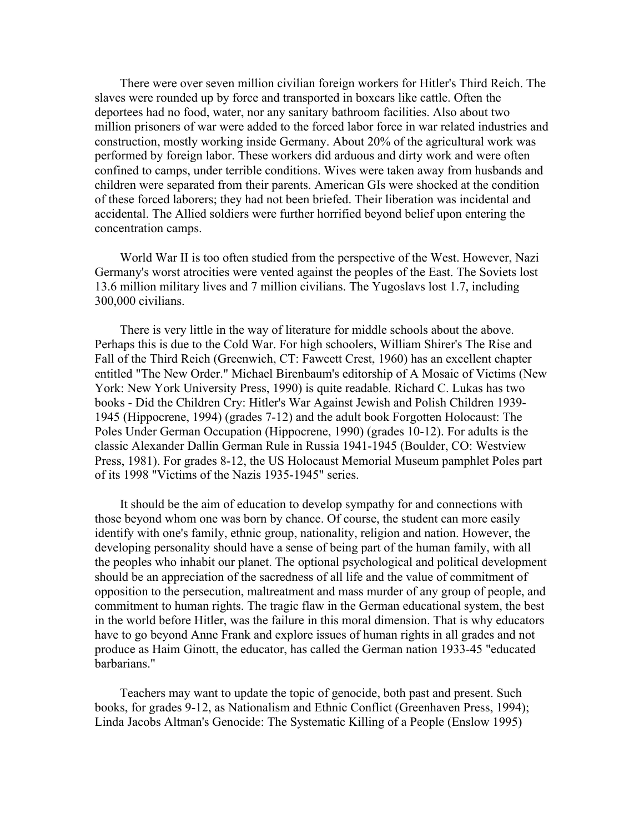There were over seven million civilian foreign workers for Hitler's Third Reich. The slaves were rounded up by force and transported in boxcars like cattle. Often the deportees had no food, water, nor any sanitary bathroom facilities. Also about two million prisoners of war were added to the forced labor force in war related industries and construction, mostly working inside Germany. About 20% of the agricultural work was performed by foreign labor. These workers did arduous and dirty work and were often confined to camps, under terrible conditions. Wives were taken away from husbands and children were separated from their parents. American GIs were shocked at the condition of these forced laborers; they had not been briefed. Their liberation was incidental and accidental. The Allied soldiers were further horrified beyond belief upon entering the concentration camps.

 World War II is too often studied from the perspective of the West. However, Nazi Germany's worst atrocities were vented against the peoples of the East. The Soviets lost 13.6 million military lives and 7 million civilians. The Yugoslavs lost 1.7, including 300,000 civilians.

 There is very little in the way of literature for middle schools about the above. Perhaps this is due to the Cold War. For high schoolers, William Shirer's The Rise and Fall of the Third Reich (Greenwich, CT: Fawcett Crest, 1960) has an excellent chapter entitled "The New Order." Michael Birenbaum's editorship of A Mosaic of Victims (New York: New York University Press, 1990) is quite readable. Richard C. Lukas has two books - Did the Children Cry: Hitler's War Against Jewish and Polish Children 1939- 1945 (Hippocrene, 1994) (grades 7-12) and the adult book Forgotten Holocaust: The Poles Under German Occupation (Hippocrene, 1990) (grades 10-12). For adults is the classic Alexander Dallin German Rule in Russia 1941-1945 (Boulder, CO: Westview Press, 1981). For grades 8-12, the US Holocaust Memorial Museum pamphlet Poles part of its 1998 "Victims of the Nazis 1935-1945" series.

 It should be the aim of education to develop sympathy for and connections with those beyond whom one was born by chance. Of course, the student can more easily identify with one's family, ethnic group, nationality, religion and nation. However, the developing personality should have a sense of being part of the human family, with all the peoples who inhabit our planet. The optional psychological and political development should be an appreciation of the sacredness of all life and the value of commitment of opposition to the persecution, maltreatment and mass murder of any group of people, and commitment to human rights. The tragic flaw in the German educational system, the best in the world before Hitler, was the failure in this moral dimension. That is why educators have to go beyond Anne Frank and explore issues of human rights in all grades and not produce as Haim Ginott, the educator, has called the German nation 1933-45 "educated barbarians."

 Teachers may want to update the topic of genocide, both past and present. Such books, for grades 9-12, as Nationalism and Ethnic Conflict (Greenhaven Press, 1994); Linda Jacobs Altman's Genocide: The Systematic Killing of a People (Enslow 1995)